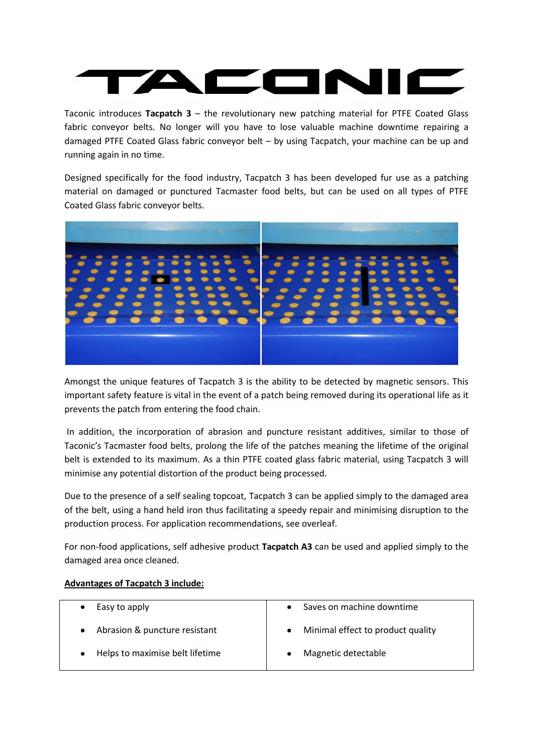Taconic introduces **Tacpatch 3** – the revolutionary new patching material for PTFE Coated Glass fabric conveyor belts. No longer will you have to lose valuable machine downtime repairing a damaged PTFE Coated Glass fabric conveyor belt – by using Tacpatch, your machine can be up and running again in no time.

Designed specifically for the food industry, Tacpatch 3 has been developed fur use as a patching material on damaged or punctured Tacmaster food belts, but can be used on all types of PTFE Coated Glass fabric conveyor belts.



Amongst the unique features of Tacpatch 3 is the ability to be detected by magnetic sensors. This important safety feature is vital in the event of a patch being removed during its operational life as it prevents the patch from entering the food chain.

In addition, the incorporation of abrasion and puncture resistant additives, similar to those of Taconic's Tacmaster food belts, prolong the life of the patches meaning the lifetime of the original belt is extended to its maximum. As a thin PTFE coated glass fabric material, using Tacpatch 3 will minimise any potential distortion of the product being processed.

Due to the presence of a self sealing topcoat, Tacpatch 3 can be applied simply to the damaged area of the belt, using a hand held iron thus facilitating a speedy repair and minimising disruption to the production process. For application recommendations, see overleaf.

For non-food applications, self adhesive product **Tacpatch A3** can be used and applied simply to the damaged area once cleaned.

### **Advantages of Tacpatch 3 include:**

| Easy to apply                   | Saves on machine downtime              |
|---------------------------------|----------------------------------------|
| Abrasion & puncture resistant   | Minimal effect to product quality<br>٠ |
| Helps to maximise belt lifetime | Magnetic detectable                    |